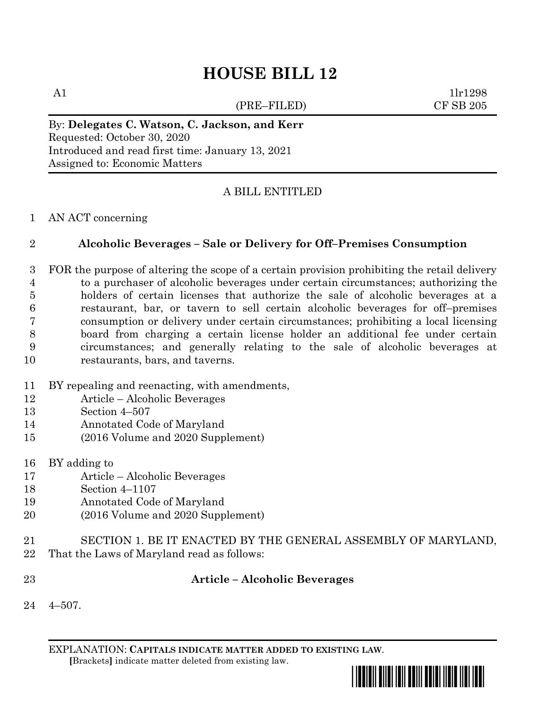# **HOUSE BILL 12**

(PRE–FILED) CF SB 205

A1  $1\text{lr1298}$ 

By: **Delegates C. Watson, C. Jackson, and Kerr** Requested: October 30, 2020 Introduced and read first time: January 13, 2021 Assigned to: Economic Matters

## A BILL ENTITLED

#### AN ACT concerning

### **Alcoholic Beverages – Sale or Delivery for Off–Premises Consumption**

- FOR the purpose of altering the scope of a certain provision prohibiting the retail delivery to a purchaser of alcoholic beverages under certain circumstances; authorizing the holders of certain licenses that authorize the sale of alcoholic beverages at a restaurant, bar, or tavern to sell certain alcoholic beverages for off–premises consumption or delivery under certain circumstances; prohibiting a local licensing board from charging a certain license holder an additional fee under certain circumstances; and generally relating to the sale of alcoholic beverages at restaurants, bars, and taverns.
- BY repealing and reenacting, with amendments,
- Article Alcoholic Beverages
- Section 4–507
- Annotated Code of Maryland
- (2016 Volume and 2020 Supplement)
- BY adding to
- Article Alcoholic Beverages
- Section 4–1107
- Annotated Code of Maryland
- (2016 Volume and 2020 Supplement)
- SECTION 1. BE IT ENACTED BY THE GENERAL ASSEMBLY OF MARYLAND,
- That the Laws of Maryland read as follows:
- 

### **Article – Alcoholic Beverages**

4–507.

EXPLANATION: **CAPITALS INDICATE MATTER ADDED TO EXISTING LAW**.  **[**Brackets**]** indicate matter deleted from existing law.

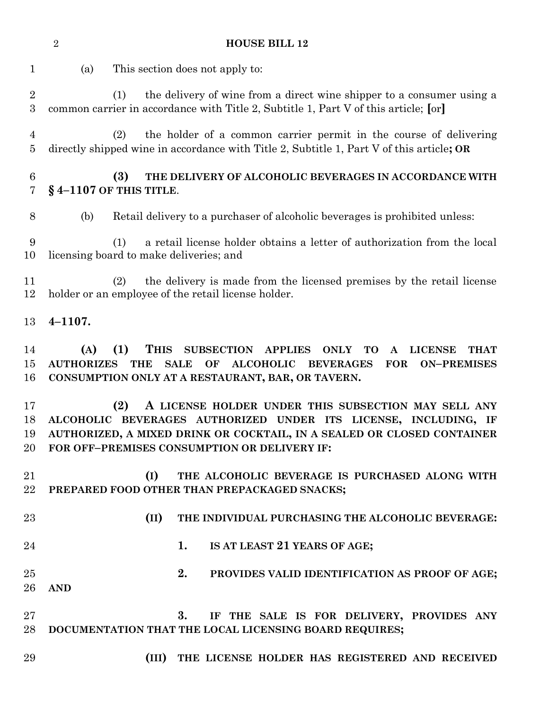**HOUSE BILL 12** (a) This section does not apply to: (1) the delivery of wine from a direct wine shipper to a consumer using a common carrier in accordance with Title 2, Subtitle 1, Part V of this article; **[**or**]** (2) the holder of a common carrier permit in the course of delivering directly shipped wine in accordance with Title 2, Subtitle 1, Part V of this article**; OR (3) THE DELIVERY OF ALCOHOLIC BEVERAGES IN ACCORDANCE WITH § 4–1107 OF THIS TITLE**. (b) Retail delivery to a purchaser of alcoholic beverages is prohibited unless: (1) a retail license holder obtains a letter of authorization from the local licensing board to make deliveries; and (2) the delivery is made from the licensed premises by the retail license holder or an employee of the retail license holder. **4–1107. (A) (1) THIS SUBSECTION APPLIES ONLY TO A LICENSE THAT AUTHORIZES THE SALE OF ALCOHOLIC BEVERAGES FOR ON–PREMISES CONSUMPTION ONLY AT A RESTAURANT, BAR, OR TAVERN. (2) A LICENSE HOLDER UNDER THIS SUBSECTION MAY SELL ANY ALCOHOLIC BEVERAGES AUTHORIZED UNDER ITS LICENSE, INCLUDING, IF AUTHORIZED, A MIXED DRINK OR COCKTAIL, IN A SEALED OR CLOSED CONTAINER FOR OFF–PREMISES CONSUMPTION OR DELIVERY IF: (I) THE ALCOHOLIC BEVERAGE IS PURCHASED ALONG WITH PREPARED FOOD OTHER THAN PREPACKAGED SNACKS; (II) THE INDIVIDUAL PURCHASING THE ALCOHOLIC BEVERAGE: 1. IS AT LEAST 21 YEARS OF AGE; 2. PROVIDES VALID IDENTIFICATION AS PROOF OF AGE; AND 3. IF THE SALE IS FOR DELIVERY, PROVIDES ANY DOCUMENTATION THAT THE LOCAL LICENSING BOARD REQUIRES; (III) THE LICENSE HOLDER HAS REGISTERED AND RECEIVED**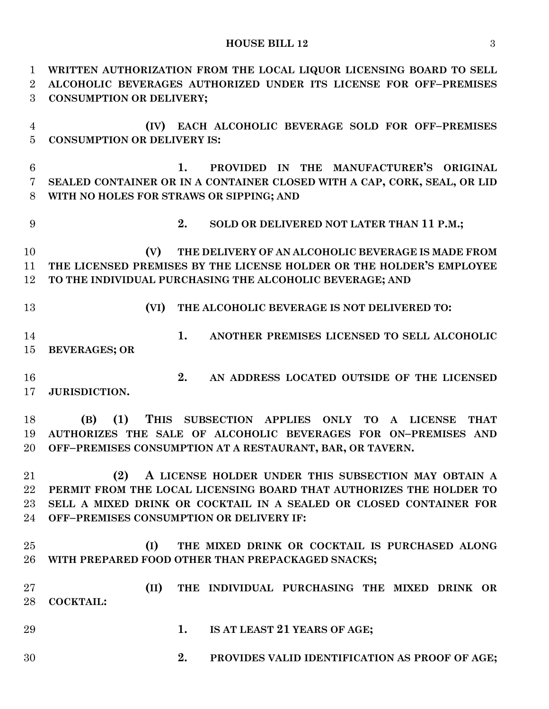#### **HOUSE BILL 12** 3

 **WRITTEN AUTHORIZATION FROM THE LOCAL LIQUOR LICENSING BOARD TO SELL ALCOHOLIC BEVERAGES AUTHORIZED UNDER ITS LICENSE FOR OFF–PREMISES CONSUMPTION OR DELIVERY; (IV) EACH ALCOHOLIC BEVERAGE SOLD FOR OFF–PREMISES CONSUMPTION OR DELIVERY IS: 1. PROVIDED IN THE MANUFACTURER'S ORIGINAL SEALED CONTAINER OR IN A CONTAINER CLOSED WITH A CAP, CORK, SEAL, OR LID WITH NO HOLES FOR STRAWS OR SIPPING; AND 2. SOLD OR DELIVERED NOT LATER THAN 11 P.M.; (V) THE DELIVERY OF AN ALCOHOLIC BEVERAGE IS MADE FROM THE LICENSED PREMISES BY THE LICENSE HOLDER OR THE HOLDER'S EMPLOYEE TO THE INDIVIDUAL PURCHASING THE ALCOHOLIC BEVERAGE; AND (VI) THE ALCOHOLIC BEVERAGE IS NOT DELIVERED TO: 1. ANOTHER PREMISES LICENSED TO SELL ALCOHOLIC BEVERAGES; OR 2. AN ADDRESS LOCATED OUTSIDE OF THE LICENSED JURISDICTION. (B) (1) THIS SUBSECTION APPLIES ONLY TO A LICENSE THAT AUTHORIZES THE SALE OF ALCOHOLIC BEVERAGES FOR ON–PREMISES AND OFF–PREMISES CONSUMPTION AT A RESTAURANT, BAR, OR TAVERN. (2) A LICENSE HOLDER UNDER THIS SUBSECTION MAY OBTAIN A PERMIT FROM THE LOCAL LICENSING BOARD THAT AUTHORIZES THE HOLDER TO SELL A MIXED DRINK OR COCKTAIL IN A SEALED OR CLOSED CONTAINER FOR OFF–PREMISES CONSUMPTION OR DELIVERY IF: (I) THE MIXED DRINK OR COCKTAIL IS PURCHASED ALONG WITH PREPARED FOOD OTHER THAN PREPACKAGED SNACKS; (II) THE INDIVIDUAL PURCHASING THE MIXED DRINK OR COCKTAIL: 1. IS AT LEAST 21 YEARS OF AGE; 2. PROVIDES VALID IDENTIFICATION AS PROOF OF AGE;**